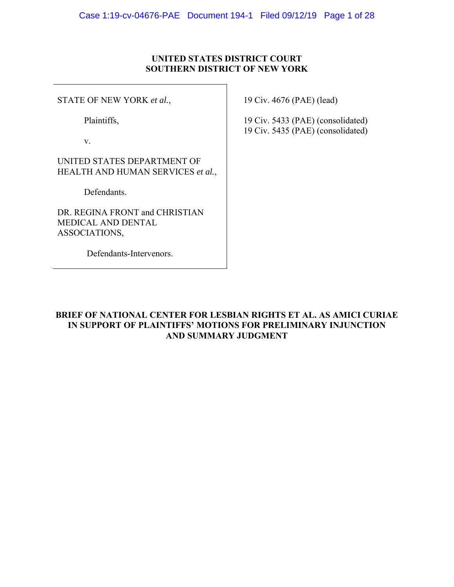# **UNITED STATES DISTRICT COURT SOUTHERN DISTRICT OF NEW YORK**

STATE OF NEW YORK *et al.*,

Plaintiffs,

v.

UNITED STATES DEPARTMENT OF HEALTH AND HUMAN SERVICES *et al.*,

Defendants.

DR. REGINA FRONT and CHRISTIAN MEDICAL AND DENTAL ASSOCIATIONS,

Defendants-Intervenors.

19 Civ. 4676 (PAE) (lead)

19 Civ. 5433 (PAE) (consolidated) 19 Civ. 5435 (PAE) (consolidated)

**BRIEF OF NATIONAL CENTER FOR LESBIAN RIGHTS ET AL. AS AMICI CURIAE IN SUPPORT OF PLAINTIFFS' MOTIONS FOR PRELIMINARY INJUNCTION AND SUMMARY JUDGMENT**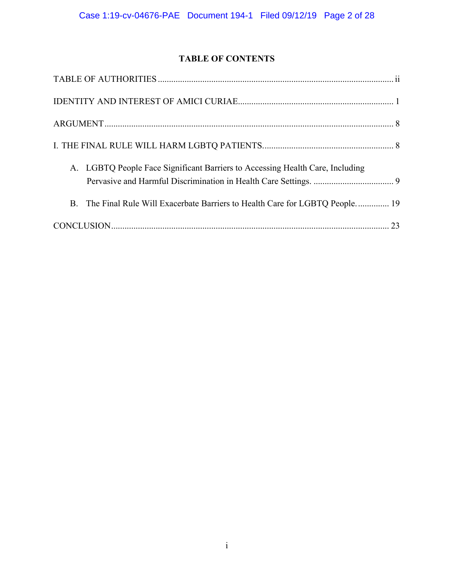# **TABLE OF CONTENTS**

| A. LGBTQ People Face Significant Barriers to Accessing Health Care, Including |
|-------------------------------------------------------------------------------|
| B. The Final Rule Will Exacerbate Barriers to Health Care for LGBTQ People 19 |
|                                                                               |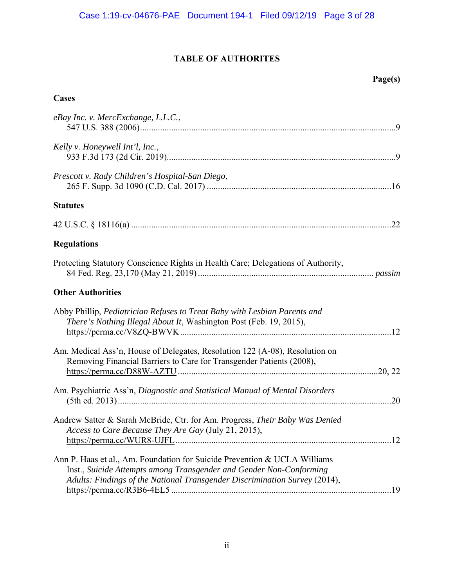# **TABLE OF AUTHORITES**

# **Cases**

| eBay Inc. v. MercExchange, L.L.C.,                                                                                                                                                                                             |
|--------------------------------------------------------------------------------------------------------------------------------------------------------------------------------------------------------------------------------|
| Kelly v. Honeywell Int'l, Inc.,                                                                                                                                                                                                |
| Prescott v. Rady Children's Hospital-San Diego,                                                                                                                                                                                |
| <b>Statutes</b>                                                                                                                                                                                                                |
|                                                                                                                                                                                                                                |
| <b>Regulations</b>                                                                                                                                                                                                             |
| Protecting Statutory Conscience Rights in Health Care; Delegations of Authority,                                                                                                                                               |
| <b>Other Authorities</b>                                                                                                                                                                                                       |
| Abby Phillip, Pediatrician Refuses to Treat Baby with Lesbian Parents and<br>There's Nothing Illegal About It, Washington Post (Feb. 19, 2015),                                                                                |
| Am. Medical Ass'n, House of Delegates, Resolution 122 (A-08), Resolution on<br>Removing Financial Barriers to Care for Transgender Patients (2008),                                                                            |
| Am. Psychiatric Ass'n, Diagnostic and Statistical Manual of Mental Disorders                                                                                                                                                   |
| Andrew Satter & Sarah McBride, Ctr. for Am. Progress, Their Baby Was Denied<br>Access to Care Because They Are Gay (July 21, 2015),                                                                                            |
| Ann P. Haas et al., Am. Foundation for Suicide Prevention & UCLA Williams<br>Inst., Suicide Attempts among Transgender and Gender Non-Conforming<br>Adults: Findings of the National Transgender Discrimination Survey (2014), |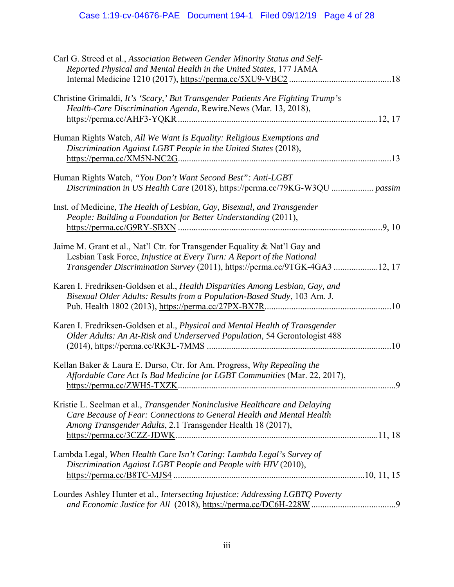| Carl G. Streed et al., Association Between Gender Minority Status and Self-<br>Reported Physical and Mental Health in the United States, 177 JAMA                                                                                  |   |
|------------------------------------------------------------------------------------------------------------------------------------------------------------------------------------------------------------------------------------|---|
| Christine Grimaldi, It's 'Scary,' But Transgender Patients Are Fighting Trump's<br>Health-Care Discrimination Agenda, Rewire.News (Mar. 13, 2018),                                                                                 |   |
| Human Rights Watch, All We Want Is Equality: Religious Exemptions and<br>Discrimination Against LGBT People in the United States (2018),                                                                                           |   |
| Human Rights Watch, "You Don't Want Second Best": Anti-LGBT                                                                                                                                                                        |   |
| Inst. of Medicine, The Health of Lesbian, Gay, Bisexual, and Transgender<br>People: Building a Foundation for Better Understanding (2011),                                                                                         |   |
| Jaime M. Grant et al., Nat'l Ctr. for Transgender Equality & Nat'l Gay and<br>Lesbian Task Force, Injustice at Every Turn: A Report of the National<br>Transgender Discrimination Survey (2011), https://perma.cc/9TGK-4GA3 12, 17 |   |
| Karen I. Fredriksen-Goldsen et al., Health Disparities Among Lesbian, Gay, and<br>Bisexual Older Adults: Results from a Population-Based Study, 103 Am. J.                                                                         |   |
| Karen I. Fredriksen-Goldsen et al., Physical and Mental Health of Transgender<br>Older Adults: An At-Risk and Underserved Population, 54 Gerontologist 488                                                                         |   |
| Kellan Baker & Laura E. Durso, Ctr. for Am. Progress, Why Repealing the<br>Affordable Care Act Is Bad Medicine for LGBT Communities (Mar. 22, 2017),                                                                               | 9 |
| Kristie L. Seelman et al., Transgender Noninclusive Healthcare and Delaying<br>Care Because of Fear: Connections to General Health and Mental Health<br>Among Transgender Adults, 2.1 Transgender Health 18 (2017),                |   |
| Lambda Legal, When Health Care Isn't Caring: Lambda Legal's Survey of<br>Discrimination Against LGBT People and People with HIV (2010),                                                                                            |   |
| Lourdes Ashley Hunter et al., Intersecting Injustice: Addressing LGBTQ Poverty                                                                                                                                                     |   |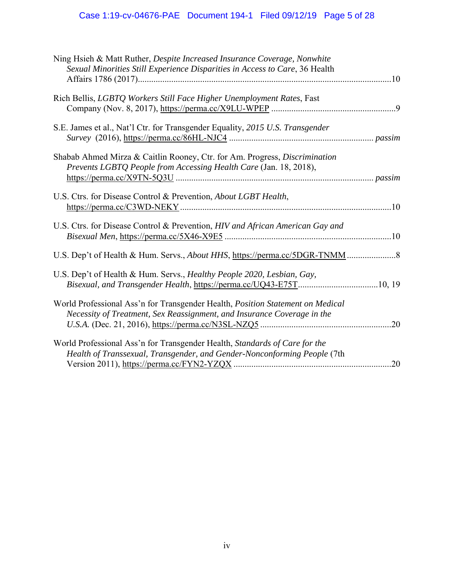| Ning Hsieh & Matt Ruther, Despite Increased Insurance Coverage, Nonwhite                                                                                  |  |
|-----------------------------------------------------------------------------------------------------------------------------------------------------------|--|
| Sexual Minorities Still Experience Disparities in Access to Care, 36 Health                                                                               |  |
| Rich Bellis, LGBTQ Workers Still Face Higher Unemployment Rates, Fast                                                                                     |  |
|                                                                                                                                                           |  |
| S.E. James et al., Nat'l Ctr. for Transgender Equality, 2015 U.S. Transgender                                                                             |  |
|                                                                                                                                                           |  |
| Shabab Ahmed Mirza & Caitlin Rooney, Ctr. for Am. Progress, Discrimination<br>Prevents LGBTQ People from Accessing Health Care (Jan. 18, 2018),           |  |
|                                                                                                                                                           |  |
| U.S. Ctrs. for Disease Control & Prevention, About LGBT Health,                                                                                           |  |
| U.S. Ctrs. for Disease Control & Prevention, HIV and African American Gay and                                                                             |  |
|                                                                                                                                                           |  |
| U.S. Dep't of Health & Hum. Servs., Healthy People 2020, Lesbian, Gay,<br>Bisexual, and Transgender Health, https://perma.cc/UQ43-E75T10, 19              |  |
| World Professional Ass'n for Transgender Health, Position Statement on Medical<br>Necessity of Treatment, Sex Reassignment, and Insurance Coverage in the |  |
| World Professional Ass'n for Transgender Health, Standards of Care for the<br>Health of Transsexual, Transgender, and Gender-Nonconforming People (7th    |  |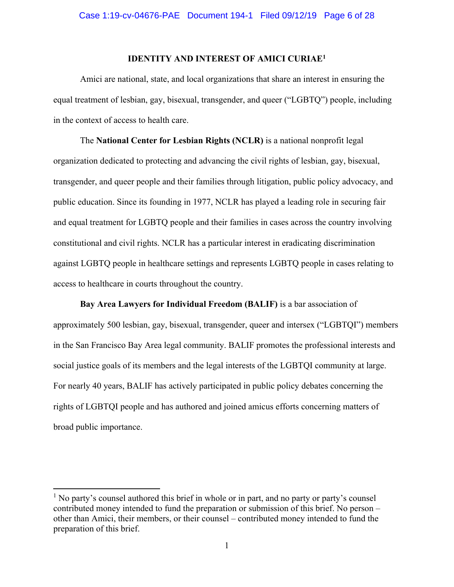### **IDENTITY AND INTEREST OF AMICI CURIAE1**

Amici are national, state, and local organizations that share an interest in ensuring the equal treatment of lesbian, gay, bisexual, transgender, and queer ("LGBTQ") people, including in the context of access to health care.

The **National Center for Lesbian Rights (NCLR)** is a national nonprofit legal organization dedicated to protecting and advancing the civil rights of lesbian, gay, bisexual, transgender, and queer people and their families through litigation, public policy advocacy, and public education. Since its founding in 1977, NCLR has played a leading role in securing fair and equal treatment for LGBTQ people and their families in cases across the country involving constitutional and civil rights. NCLR has a particular interest in eradicating discrimination against LGBTQ people in healthcare settings and represents LGBTQ people in cases relating to access to healthcare in courts throughout the country.

**Bay Area Lawyers for Individual Freedom (BALIF)** is a bar association of approximately 500 lesbian, gay, bisexual, transgender, queer and intersex ("LGBTQI") members in the San Francisco Bay Area legal community. BALIF promotes the professional interests and social justice goals of its members and the legal interests of the LGBTQI community at large. For nearly 40 years, BALIF has actively participated in public policy debates concerning the rights of LGBTQI people and has authored and joined amicus efforts concerning matters of broad public importance.

<sup>&</sup>lt;sup>1</sup> No party's counsel authored this brief in whole or in part, and no party or party's counsel contributed money intended to fund the preparation or submission of this brief. No person – other than Amici, their members, or their counsel – contributed money intended to fund the preparation of this brief.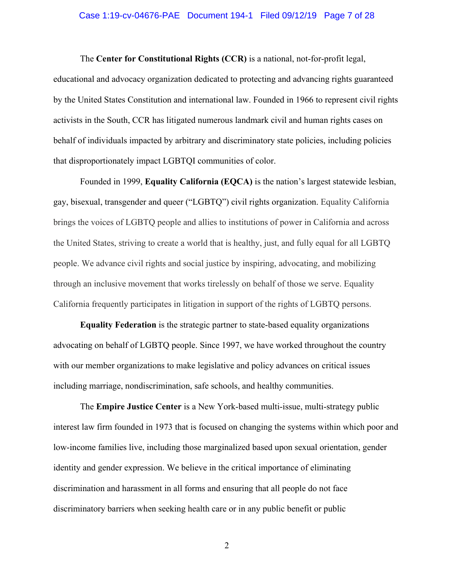### Case 1:19-cv-04676-PAE Document 194-1 Filed 09/12/19 Page 7 of 28

The **Center for Constitutional Rights (CCR)** is a national, not-for-profit legal, educational and advocacy organization dedicated to protecting and advancing rights guaranteed by the United States Constitution and international law. Founded in 1966 to represent civil rights activists in the South, CCR has litigated numerous landmark civil and human rights cases on behalf of individuals impacted by arbitrary and discriminatory state policies, including policies that disproportionately impact LGBTQI communities of color.

Founded in 1999, **Equality California (EQCA)** is the nation's largest statewide lesbian, gay, bisexual, transgender and queer ("LGBTQ") civil rights organization. Equality California brings the voices of LGBTQ people and allies to institutions of power in California and across the United States, striving to create a world that is healthy, just, and fully equal for all LGBTQ people. We advance civil rights and social justice by inspiring, advocating, and mobilizing through an inclusive movement that works tirelessly on behalf of those we serve. Equality California frequently participates in litigation in support of the rights of LGBTQ persons.

**Equality Federation** is the strategic partner to state-based equality organizations advocating on behalf of LGBTQ people. Since 1997, we have worked throughout the country with our member organizations to make legislative and policy advances on critical issues including marriage, nondiscrimination, safe schools, and healthy communities.

The **Empire Justice Center** is a New York-based multi-issue, multi-strategy public interest law firm founded in 1973 that is focused on changing the systems within which poor and low-income families live, including those marginalized based upon sexual orientation, gender identity and gender expression. We believe in the critical importance of eliminating discrimination and harassment in all forms and ensuring that all people do not face discriminatory barriers when seeking health care or in any public benefit or public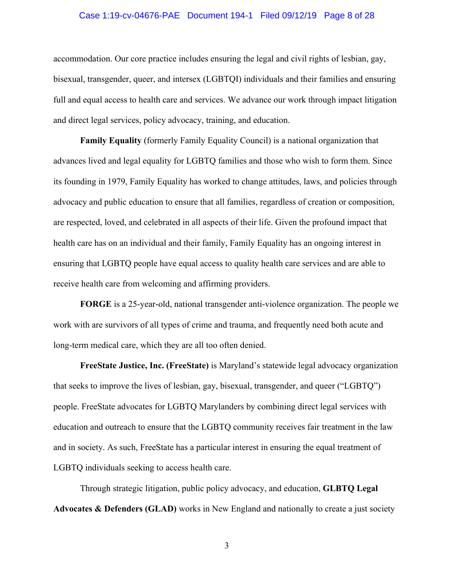# Case 1:19-cv-04676-PAE Document 194-1 Filed 09/12/19 Page 8 of 28

accommodation. Our core practice includes ensuring the legal and civil rights of lesbian, gay, bisexual, transgender, queer, and intersex (LGBTQI) individuals and their families and ensuring full and equal access to health care and services. We advance our work through impact litigation and direct legal services, policy advocacy, training, and education.

**Family Equality** (formerly Family Equality Council) is a national organization that advances lived and legal equality for LGBTQ families and those who wish to form them. Since its founding in 1979, Family Equality has worked to change attitudes, laws, and policies through advocacy and public education to ensure that all families, regardless of creation or composition, are respected, loved, and celebrated in all aspects of their life. Given the profound impact that health care has on an individual and their family, Family Equality has an ongoing interest in ensuring that LGBTQ people have equal access to quality health care services and are able to receive health care from welcoming and affirming providers.

**FORGE** is a 25-year-old, national transgender anti-violence organization. The people we work with are survivors of all types of crime and trauma, and frequently need both acute and long-term medical care, which they are all too often denied.

**FreeState Justice, Inc. (FreeState)** is Maryland's statewide legal advocacy organization that seeks to improve the lives of lesbian, gay, bisexual, transgender, and queer ("LGBTQ") people. FreeState advocates for LGBTQ Marylanders by combining direct legal services with education and outreach to ensure that the LGBTQ community receives fair treatment in the law and in society. As such, FreeState has a particular interest in ensuring the equal treatment of LGBTQ individuals seeking to access health care.

Through strategic litigation, public policy advocacy, and education, **GLBTQ Legal Advocates & Defenders (GLAD)** works in New England and nationally to create a just society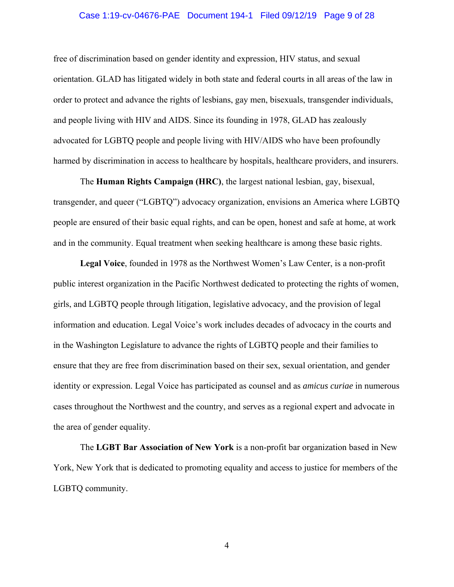# Case 1:19-cv-04676-PAE Document 194-1 Filed 09/12/19 Page 9 of 28

free of discrimination based on gender identity and expression, HIV status, and sexual orientation. GLAD has litigated widely in both state and federal courts in all areas of the law in order to protect and advance the rights of lesbians, gay men, bisexuals, transgender individuals, and people living with HIV and AIDS. Since its founding in 1978, GLAD has zealously advocated for LGBTQ people and people living with HIV/AIDS who have been profoundly harmed by discrimination in access to healthcare by hospitals, healthcare providers, and insurers.

The **Human Rights Campaign (HRC)**, the largest national lesbian, gay, bisexual, transgender, and queer ("LGBTQ") advocacy organization, envisions an America where LGBTQ people are ensured of their basic equal rights, and can be open, honest and safe at home, at work and in the community. Equal treatment when seeking healthcare is among these basic rights.

**Legal Voice**, founded in 1978 as the Northwest Women's Law Center, is a non-profit public interest organization in the Pacific Northwest dedicated to protecting the rights of women, girls, and LGBTQ people through litigation, legislative advocacy, and the provision of legal information and education. Legal Voice's work includes decades of advocacy in the courts and in the Washington Legislature to advance the rights of LGBTQ people and their families to ensure that they are free from discrimination based on their sex, sexual orientation, and gender identity or expression. Legal Voice has participated as counsel and as *amicus curiae* in numerous cases throughout the Northwest and the country, and serves as a regional expert and advocate in the area of gender equality.

The **LGBT Bar Association of New York** is a non-profit bar organization based in New York, New York that is dedicated to promoting equality and access to justice for members of the LGBTQ community.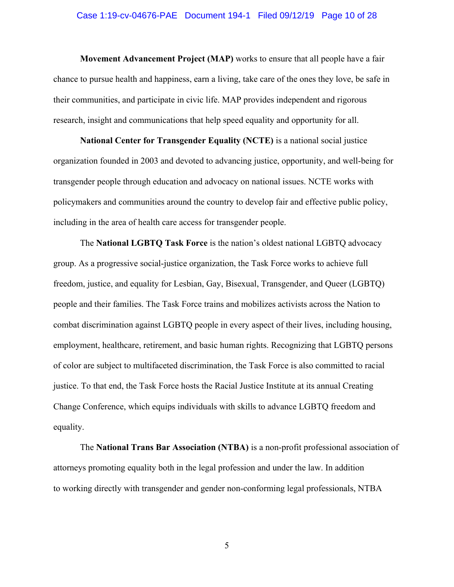### Case 1:19-cv-04676-PAE Document 194-1 Filed 09/12/19 Page 10 of 28

**Movement Advancement Project (MAP)** works to ensure that all people have a fair chance to pursue health and happiness, earn a living, take care of the ones they love, be safe in their communities, and participate in civic life. MAP provides independent and rigorous research, insight and communications that help speed equality and opportunity for all.

**National Center for Transgender Equality (NCTE)** is a national social justice organization founded in 2003 and devoted to advancing justice, opportunity, and well-being for transgender people through education and advocacy on national issues. NCTE works with policymakers and communities around the country to develop fair and effective public policy, including in the area of health care access for transgender people.

The **National LGBTQ Task Force** is the nation's oldest national LGBTQ advocacy group. As a progressive social-justice organization, the Task Force works to achieve full freedom, justice, and equality for Lesbian, Gay, Bisexual, Transgender, and Queer (LGBTQ) people and their families. The Task Force trains and mobilizes activists across the Nation to combat discrimination against LGBTQ people in every aspect of their lives, including housing, employment, healthcare, retirement, and basic human rights. Recognizing that LGBTQ persons of color are subject to multifaceted discrimination, the Task Force is also committed to racial justice. To that end, the Task Force hosts the Racial Justice Institute at its annual Creating Change Conference, which equips individuals with skills to advance LGBTQ freedom and equality.

The **National Trans Bar Association (NTBA)** is a non-profit professional association of attorneys promoting equality both in the legal profession and under the law. In addition to working directly with transgender and gender non-conforming legal professionals, NTBA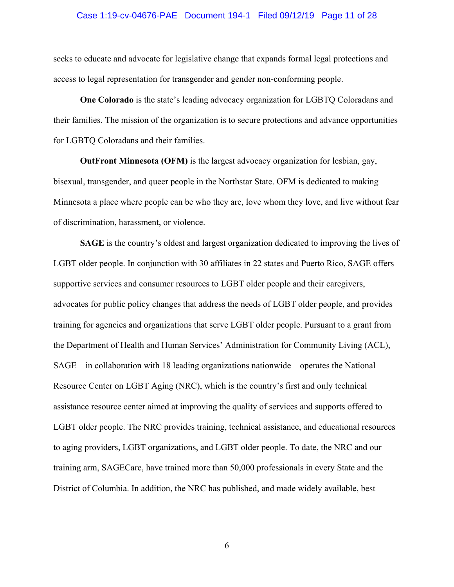### Case 1:19-cv-04676-PAE Document 194-1 Filed 09/12/19 Page 11 of 28

seeks to educate and advocate for legislative change that expands formal legal protections and access to legal representation for transgender and gender non-conforming people.

**One Colorado** is the state's leading advocacy organization for LGBTQ Coloradans and their families. The mission of the organization is to secure protections and advance opportunities for LGBTQ Coloradans and their families.

**OutFront Minnesota (OFM)** is the largest advocacy organization for lesbian, gay, bisexual, transgender, and queer people in the Northstar State. OFM is dedicated to making Minnesota a place where people can be who they are, love whom they love, and live without fear of discrimination, harassment, or violence.

**SAGE** is the country's oldest and largest organization dedicated to improving the lives of LGBT older people. In conjunction with 30 affiliates in 22 states and Puerto Rico, SAGE offers supportive services and consumer resources to LGBT older people and their caregivers, advocates for public policy changes that address the needs of LGBT older people, and provides training for agencies and organizations that serve LGBT older people. Pursuant to a grant from the Department of Health and Human Services' Administration for Community Living (ACL), SAGE—in collaboration with 18 leading organizations nationwide—operates the National Resource Center on LGBT Aging (NRC), which is the country's first and only technical assistance resource center aimed at improving the quality of services and supports offered to LGBT older people. The NRC provides training, technical assistance, and educational resources to aging providers, LGBT organizations, and LGBT older people. To date, the NRC and our training arm, SAGECare, have trained more than 50,000 professionals in every State and the District of Columbia. In addition, the NRC has published, and made widely available, best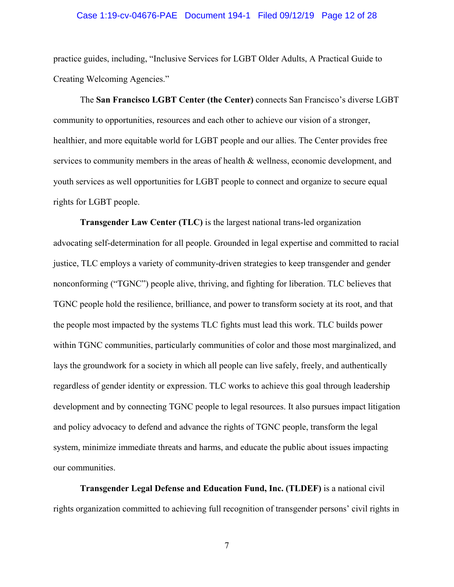#### Case 1:19-cv-04676-PAE Document 194-1 Filed 09/12/19 Page 12 of 28

practice guides, including, "Inclusive Services for LGBT Older Adults, A Practical Guide to Creating Welcoming Agencies."

The **San Francisco LGBT Center (the Center)** connects San Francisco's diverse LGBT community to opportunities, resources and each other to achieve our vision of a stronger, healthier, and more equitable world for LGBT people and our allies. The Center provides free services to community members in the areas of health & wellness, economic development, and youth services as well opportunities for LGBT people to connect and organize to secure equal rights for LGBT people.

**Transgender Law Center (TLC)** is the largest national trans-led organization advocating self-determination for all people. Grounded in legal expertise and committed to racial justice, TLC employs a variety of community-driven strategies to keep transgender and gender nonconforming ("TGNC") people alive, thriving, and fighting for liberation. TLC believes that TGNC people hold the resilience, brilliance, and power to transform society at its root, and that the people most impacted by the systems TLC fights must lead this work. TLC builds power within TGNC communities, particularly communities of color and those most marginalized, and lays the groundwork for a society in which all people can live safely, freely, and authentically regardless of gender identity or expression. TLC works to achieve this goal through leadership development and by connecting TGNC people to legal resources. It also pursues impact litigation and policy advocacy to defend and advance the rights of TGNC people, transform the legal system, minimize immediate threats and harms, and educate the public about issues impacting our communities.

**Transgender Legal Defense and Education Fund, Inc. (TLDEF)** is a national civil rights organization committed to achieving full recognition of transgender persons' civil rights in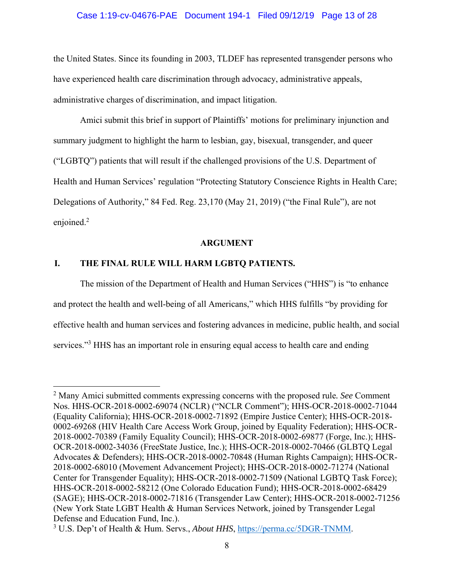# Case 1:19-cv-04676-PAE Document 194-1 Filed 09/12/19 Page 13 of 28

the United States. Since its founding in 2003, TLDEF has represented transgender persons who have experienced health care discrimination through advocacy, administrative appeals, administrative charges of discrimination, and impact litigation.

Amici submit this brief in support of Plaintiffs' motions for preliminary injunction and summary judgment to highlight the harm to lesbian, gay, bisexual, transgender, and queer ("LGBTQ") patients that will result if the challenged provisions of the U.S. Department of Health and Human Services' regulation "Protecting Statutory Conscience Rights in Health Care; Delegations of Authority," 84 Fed. Reg. 23,170 (May 21, 2019) ("the Final Rule"), are not enjoined.<sup>2</sup>

### **ARGUMENT**

# **I. THE FINAL RULE WILL HARM LGBTQ PATIENTS.**

The mission of the Department of Health and Human Services ("HHS") is "to enhance and protect the health and well-being of all Americans," which HHS fulfills "by providing for effective health and human services and fostering advances in medicine, public health, and social services."<sup>3</sup> HHS has an important role in ensuring equal access to health care and ending

<sup>2</sup> Many Amici submitted comments expressing concerns with the proposed rule*. See* Comment Nos. HHS-OCR-2018-0002-69074 (NCLR) ("NCLR Comment"); HHS-OCR-2018-0002-71044 (Equality California); HHS-OCR-2018-0002-71892 (Empire Justice Center); HHS-OCR-2018- 0002-69268 (HIV Health Care Access Work Group, joined by Equality Federation); HHS-OCR-2018-0002-70389 (Family Equality Council); HHS-OCR-2018-0002-69877 (Forge, Inc.); HHS-OCR-2018-0002-34036 (FreeState Justice, Inc.); HHS-OCR-2018-0002-70466 (GLBTQ Legal Advocates & Defenders); HHS-OCR-2018-0002-70848 (Human Rights Campaign); HHS-OCR-2018-0002-68010 (Movement Advancement Project); HHS-OCR-2018-0002-71274 (National Center for Transgender Equality); HHS-OCR-2018-0002-71509 (National LGBTQ Task Force); HHS-OCR-2018-0002-58212 (One Colorado Education Fund); HHS-OCR-2018-0002-68429 (SAGE); HHS-OCR-2018-0002-71816 (Transgender Law Center); HHS-OCR-2018-0002-71256 (New York State LGBT Health & Human Services Network, joined by Transgender Legal Defense and Education Fund, Inc.).

<sup>&</sup>lt;sup>3</sup> U.S. Dep't of Health & Hum. Servs., *About HHS*, https://perma.cc/5DGR-TNMM.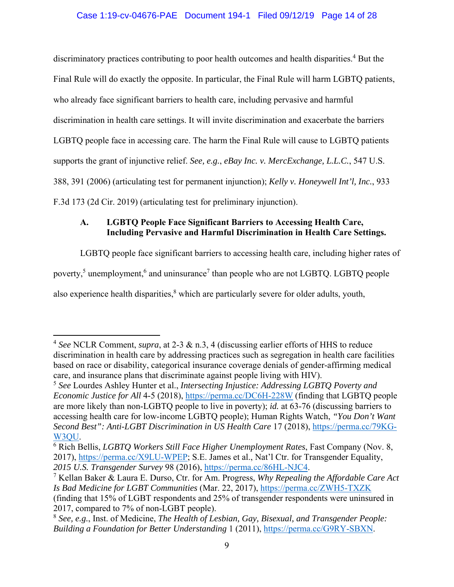# Case 1:19-cv-04676-PAE Document 194-1 Filed 09/12/19 Page 14 of 28

discriminatory practices contributing to poor health outcomes and health disparities.<sup>4</sup> But the Final Rule will do exactly the opposite. In particular, the Final Rule will harm LGBTQ patients, who already face significant barriers to health care, including pervasive and harmful discrimination in health care settings. It will invite discrimination and exacerbate the barriers LGBTQ people face in accessing care. The harm the Final Rule will cause to LGBTQ patients supports the grant of injunctive relief. *See, e.g.*, *eBay Inc. v. MercExchange, L.L.C.*, 547 U.S. 388, 391 (2006) (articulating test for permanent injunction); *Kelly v. Honeywell Int'l, Inc.*, 933 F.3d 173 (2d Cir. 2019) (articulating test for preliminary injunction).

# **A. LGBTQ People Face Significant Barriers to Accessing Health Care, Including Pervasive and Harmful Discrimination in Health Care Settings.**

LGBTQ people face significant barriers to accessing health care, including higher rates of

poverty,<sup>5</sup> unemployment,<sup>6</sup> and uninsurance<sup>7</sup> than people who are not LGBTQ. LGBTQ people

also experience health disparities, $^8$  which are particularly severe for older adults, youth,

<sup>4</sup> *See* NCLR Comment, *supra*, at 2-3 & n.3, 4 (discussing earlier efforts of HHS to reduce discrimination in health care by addressing practices such as segregation in health care facilities based on race or disability, categorical insurance coverage denials of gender-affirming medical care, and insurance plans that discriminate against people living with HIV).

<sup>5</sup> *See* Lourdes Ashley Hunter et al., *Intersecting Injustice: Addressing LGBTQ Poverty and Economic Justice for All 4-5 (2018), https://perma.cc/DC6H-228W (finding that LGBTQ people* are more likely than non-LGBTQ people to live in poverty); *id.* at 63-76 (discussing barriers to accessing health care for low-income LGBTQ people); Human Rights Watch, *"You Don't Want Second Best": Anti-LGBT Discrimination in US Health Care* 17 (2018), https://perma.cc/79KG-W3QU.

<sup>6</sup> Rich Bellis, *LGBTQ Workers Still Face Higher Unemployment Rates*, Fast Company (Nov. 8, 2017), https://perma.cc/X9LU-WPEP; S.E. James et al., Nat'l Ctr. for Transgender Equality, *2015 U.S. Transgender Survey* 98 (2016), https://perma.cc/86HL-NJC4.

<sup>7</sup> Kellan Baker & Laura E. Durso, Ctr. for Am. Progress, *Why Repealing the Affordable Care Act Is Bad Medicine for LGBT Communities* (Mar. 22, 2017), https://perma.cc/ZWH5-TXZK (finding that 15% of LGBT respondents and 25% of transgender respondents were uninsured in 2017, compared to 7% of non-LGBT people).

<sup>8</sup> *See, e.g.*, Inst. of Medicine, *The Health of Lesbian, Gay, Bisexual, and Transgender People: Building a Foundation for Better Understanding* 1 (2011), https://perma.cc/G9RY-SBXN.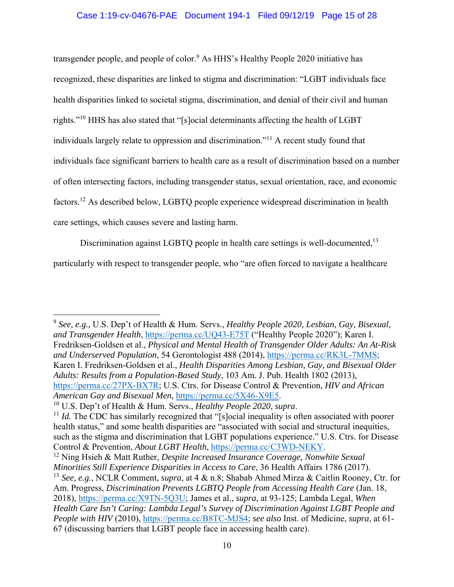transgender people, and people of color.<sup>9</sup> As HHS's Healthy People 2020 initiative has recognized, these disparities are linked to stigma and discrimination: "LGBT individuals face health disparities linked to societal stigma, discrimination, and denial of their civil and human rights."10 HHS has also stated that "[s]ocial determinants affecting the health of LGBT individuals largely relate to oppression and discrimination."11 A recent study found that individuals face significant barriers to health care as a result of discrimination based on a number of often intersecting factors, including transgender status, sexual orientation, race, and economic factors.12 As described below, LGBTQ people experience widespread discrimination in health care settings, which causes severe and lasting harm.

Discrimination against LGBTQ people in health care settings is well-documented,<sup>13</sup>

particularly with respect to transgender people, who "are often forced to navigate a healthcare

<sup>9</sup> *See, e.g.*, U.S. Dep't of Health & Hum. Servs., *Healthy People 2020, Lesbian, Gay, Bisexual, and Transgender Health*, https://perma.cc/UQ43-E75T ("Healthy People 2020"); Karen I. Fredriksen-Goldsen et al., *Physical and Mental Health of Transgender Older Adults: An At-Risk and Underserved Population*, 54 Gerontologist 488 (2014), https://perma.cc/RK3L-7MMS; Karen I. Fredriksen-Goldsen et al., *Health Disparities Among Lesbian, Gay, and Bisexual Older Adults: Results from a Population-Based Study*, 103 Am. J. Pub. Health 1802 (2013), https://perma.cc/27PX-BX7R; U.S. Ctrs. for Disease Control & Prevention, *HIV and African American Gay and Bisexual Men*, https://perma.cc/5X46-X9E5. 10 U.S. Dep't of Health & Hum. Servs., *Healthy People 2020*, *supra*.

<sup>&</sup>lt;sup>11</sup> *Id.* The CDC has similarly recognized that "[s]ocial inequality is often associated with poorer health status," and some health disparities are "associated with social and structural inequities, such as the stigma and discrimination that LGBT populations experience." U.S. Ctrs. for Disease Control & Prevention, *About LGBT Health*, https://perma.cc/C3WD-NEKY.<br><sup>12</sup> Ning Hsieh & Matt Ruther, *Despite Increased Insurance Coverage, Nonwhite Sexual* 

*Minorities Still Experience Disparities in Access to Care*, 36 Health Affairs 1786 (2017).

<sup>13</sup> *See, e.g.*, NCLR Comment, *supra*, at 4 & n.8; Shabab Ahmed Mirza & Caitlin Rooney, Ctr. for Am. Progress, *Discrimination Prevents LGBTO People from Accessing Health Care* (Jan. 18, 2018), https://perma.cc/X9TN-5Q3U; James et al., *supra*, at 93-125; Lambda Legal, *When Health Care Isn't Caring: Lambda Legal's Survey of Discrimination Against LGBT People and People with HIV* (2010), https://perma.cc/B8TC-MJS4; *see also* Inst. of Medicine, *supra*, at 61- 67 (discussing barriers that LGBT people face in accessing health care).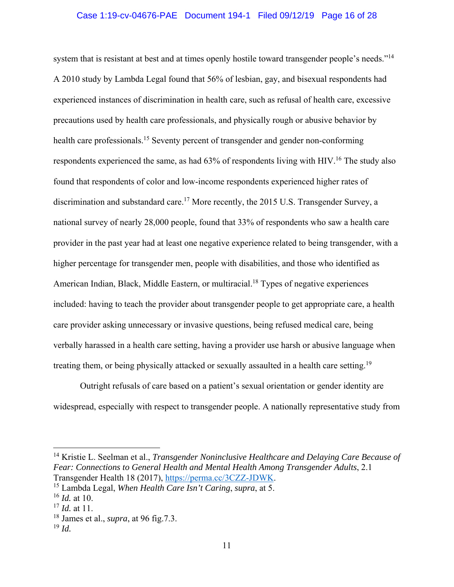### Case 1:19-cv-04676-PAE Document 194-1 Filed 09/12/19 Page 16 of 28

system that is resistant at best and at times openly hostile toward transgender people's needs."14 A 2010 study by Lambda Legal found that 56% of lesbian, gay, and bisexual respondents had experienced instances of discrimination in health care, such as refusal of health care, excessive precautions used by health care professionals, and physically rough or abusive behavior by health care professionals.<sup>15</sup> Seventy percent of transgender and gender non-conforming respondents experienced the same, as had 63% of respondents living with HIV.<sup>16</sup> The study also found that respondents of color and low-income respondents experienced higher rates of discrimination and substandard care.<sup>17</sup> More recently, the 2015 U.S. Transgender Survey, a national survey of nearly 28,000 people, found that 33% of respondents who saw a health care provider in the past year had at least one negative experience related to being transgender, with a higher percentage for transgender men, people with disabilities, and those who identified as American Indian, Black, Middle Eastern, or multiracial.<sup>18</sup> Types of negative experiences included: having to teach the provider about transgender people to get appropriate care, a health care provider asking unnecessary or invasive questions, being refused medical care, being verbally harassed in a health care setting, having a provider use harsh or abusive language when treating them, or being physically attacked or sexually assaulted in a health care setting.<sup>19</sup>

Outright refusals of care based on a patient's sexual orientation or gender identity are widespread, especially with respect to transgender people. A nationally representative study from

14 Kristie L. Seelman et al., *Transgender Noninclusive Healthcare and Delaying Care Because of Fear: Connections to General Health and Mental Health Among Transgender Adults*, 2.1 Transgender Health 18 (2017), https://perma.cc/3CZZ-JDWK. 15 Lambda Legal, *When Health Care Isn't Caring*, *supra*, at 5.

<sup>16</sup> *Id.* at 10.

<sup>17</sup> *Id.* at 11.

<sup>18</sup> James et al., *supra*, at 96 fig.7.3.

<sup>19</sup> *Id.*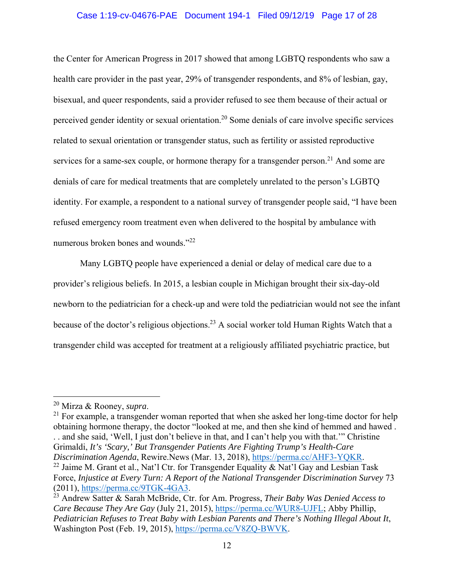#### Case 1:19-cv-04676-PAE Document 194-1 Filed 09/12/19 Page 17 of 28

the Center for American Progress in 2017 showed that among LGBTQ respondents who saw a health care provider in the past year, 29% of transgender respondents, and 8% of lesbian, gay, bisexual, and queer respondents, said a provider refused to see them because of their actual or perceived gender identity or sexual orientation.<sup>20</sup> Some denials of care involve specific services related to sexual orientation or transgender status, such as fertility or assisted reproductive services for a same-sex couple, or hormone therapy for a transgender person.<sup>21</sup> And some are denials of care for medical treatments that are completely unrelated to the person's LGBTQ identity. For example, a respondent to a national survey of transgender people said, "I have been refused emergency room treatment even when delivered to the hospital by ambulance with numerous broken bones and wounds."<sup>22</sup>

Many LGBTQ people have experienced a denial or delay of medical care due to a provider's religious beliefs. In 2015, a lesbian couple in Michigan brought their six-day-old newborn to the pediatrician for a check-up and were told the pediatrician would not see the infant because of the doctor's religious objections.<sup>23</sup> A social worker told Human Rights Watch that a transgender child was accepted for treatment at a religiously affiliated psychiatric practice, but

<sup>&</sup>lt;sup>20</sup> Mirza & Rooney, *supra*.<br><sup>21</sup> For example, a transgender woman reported that when she asked her long-time doctor for help obtaining hormone therapy, the doctor "looked at me, and then she kind of hemmed and hawed . . . and she said, 'Well, I just don't believe in that, and I can't help you with that.'" Christine Grimaldi, *It's 'Scary,' But Transgender Patients Are Fighting Trump's Health-Care Discrimination Agenda*, Rewire.News (Mar. 13, 2018), https://perma.cc/AHF3-YQKR. <sup>22</sup> Jaime M. Grant et al., Nat'l Ctr. for Transgender Equality & Nat'l Gay and Lesbian Task Force, *Injustice at Every Turn: A Report of the National Transgender Discrimination Survey* 73 (2011), https://perma.cc/9TGK-4GA3. 23 Andrew Satter & Sarah McBride, Ctr. for Am. Progress, *Their Baby Was Denied Access to* 

*Care Because They Are Gay* (July 21, 2015), https://perma.cc/WUR8-UJFL; Abby Phillip, *Pediatrician Refuses to Treat Baby with Lesbian Parents and There's Nothing Illegal About It*, Washington Post (Feb. 19, 2015), https://perma.cc/V8ZQ-BWVK.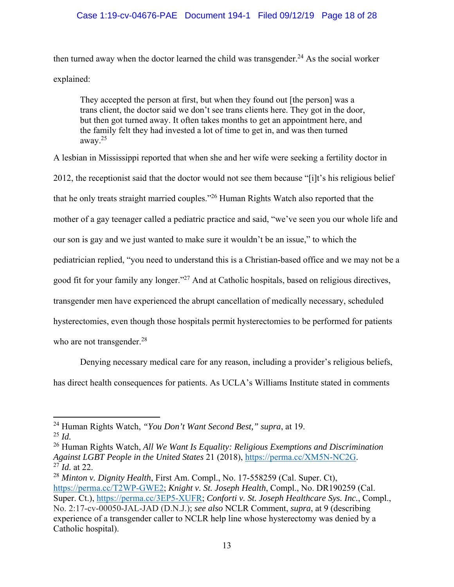## Case 1:19-cv-04676-PAE Document 194-1 Filed 09/12/19 Page 18 of 28

then turned away when the doctor learned the child was transgender.<sup>24</sup> As the social worker explained:

They accepted the person at first, but when they found out [the person] was a trans client, the doctor said we don't see trans clients here. They got in the door, but then got turned away. It often takes months to get an appointment here, and the family felt they had invested a lot of time to get in, and was then turned away.25

A lesbian in Mississippi reported that when she and her wife were seeking a fertility doctor in 2012, the receptionist said that the doctor would not see them because "[i]t's his religious belief that he only treats straight married couples."26 Human Rights Watch also reported that the mother of a gay teenager called a pediatric practice and said, "we've seen you our whole life and our son is gay and we just wanted to make sure it wouldn't be an issue," to which the pediatrician replied, "you need to understand this is a Christian-based office and we may not be a good fit for your family any longer."27 And at Catholic hospitals, based on religious directives, transgender men have experienced the abrupt cancellation of medically necessary, scheduled hysterectomies, even though those hospitals permit hysterectomies to be performed for patients who are not transgender.<sup>28</sup>

Denying necessary medical care for any reason, including a provider's religious beliefs, has direct health consequences for patients. As UCLA's Williams Institute stated in comments

26 Human Rights Watch, *All We Want Is Equality: Religious Exemptions and Discrimination Against LGBT People in the United States* 21 (2018), *https://perma.cc/XM5N-NC2G.* <sup>27</sup> *Id.* at 22.

<sup>24</sup> Human Rights Watch, *"You Don't Want Second Best," supra*, at 19.

<sup>25</sup> *Id.*

<sup>28</sup> *Minton v. Dignity Health*, First Am. Compl., No. 17-558259 (Cal. Super. Ct), https://perma.cc/T2WP-GWE2; *Knight v. St. Joseph Health*, Compl., No. DR190259 (Cal. Super. Ct.), https://perma.cc/3EP5-XUFR; *Conforti v. St. Joseph Healthcare Sys. Inc.*, Compl., No. 2:17-cv-00050-JAL-JAD (D.N.J.); *see also* NCLR Comment, *supra*, at 9 (describing experience of a transgender caller to NCLR help line whose hysterectomy was denied by a Catholic hospital).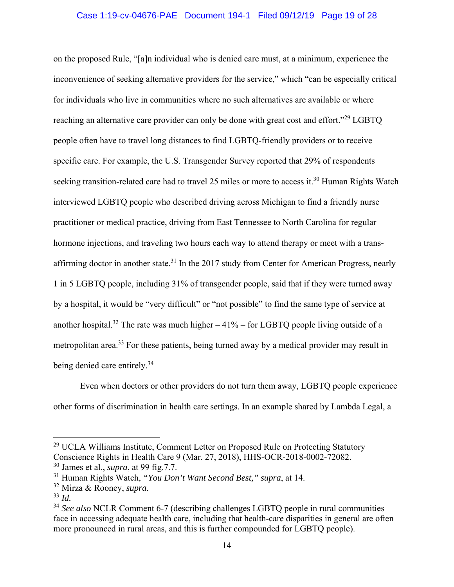### Case 1:19-cv-04676-PAE Document 194-1 Filed 09/12/19 Page 19 of 28

on the proposed Rule, "[a]n individual who is denied care must, at a minimum, experience the inconvenience of seeking alternative providers for the service," which "can be especially critical for individuals who live in communities where no such alternatives are available or where reaching an alternative care provider can only be done with great cost and effort."<sup>29</sup> LGBTO people often have to travel long distances to find LGBTQ-friendly providers or to receive specific care. For example, the U.S. Transgender Survey reported that 29% of respondents seeking transition-related care had to travel 25 miles or more to access it.<sup>30</sup> Human Rights Watch interviewed LGBTQ people who described driving across Michigan to find a friendly nurse practitioner or medical practice, driving from East Tennessee to North Carolina for regular hormone injections, and traveling two hours each way to attend therapy or meet with a transaffirming doctor in another state.<sup>31</sup> In the 2017 study from Center for American Progress, nearly 1 in 5 LGBTQ people, including 31% of transgender people, said that if they were turned away by a hospital, it would be "very difficult" or "not possible" to find the same type of service at another hospital.<sup>32</sup> The rate was much higher  $-41\%$  – for LGBTQ people living outside of a metropolitan area.<sup>33</sup> For these patients, being turned away by a medical provider may result in being denied care entirely.<sup>34</sup>

Even when doctors or other providers do not turn them away, LGBTQ people experience other forms of discrimination in health care settings. In an example shared by Lambda Legal, a

<sup>&</sup>lt;sup>29</sup> UCLA Williams Institute, Comment Letter on Proposed Rule on Protecting Statutory Conscience Rights in Health Care 9 (Mar. 27, 2018), HHS-OCR-2018-0002-72082. 30 James et al., *supra*, at 99 fig.7.7.

<sup>31</sup> Human Rights Watch, *"You Don't Want Second Best," supra*, at 14.

<sup>32</sup> Mirza & Rooney, *supra*.

<sup>33</sup> *Id.*

<sup>34</sup> *See also* NCLR Comment 6-7 (describing challenges LGBTQ people in rural communities face in accessing adequate health care, including that health-care disparities in general are often more pronounced in rural areas, and this is further compounded for LGBTQ people).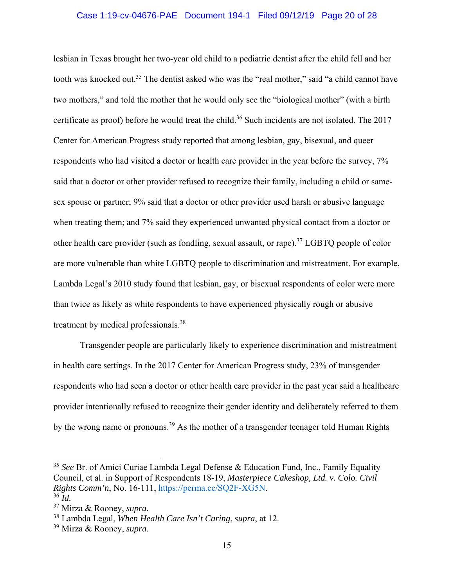#### Case 1:19-cv-04676-PAE Document 194-1 Filed 09/12/19 Page 20 of 28

lesbian in Texas brought her two-year old child to a pediatric dentist after the child fell and her tooth was knocked out.<sup>35</sup> The dentist asked who was the "real mother," said "a child cannot have two mothers," and told the mother that he would only see the "biological mother" (with a birth certificate as proof) before he would treat the child.<sup>36</sup> Such incidents are not isolated. The 2017 Center for American Progress study reported that among lesbian, gay, bisexual, and queer respondents who had visited a doctor or health care provider in the year before the survey, 7% said that a doctor or other provider refused to recognize their family, including a child or samesex spouse or partner; 9% said that a doctor or other provider used harsh or abusive language when treating them; and 7% said they experienced unwanted physical contact from a doctor or other health care provider (such as fondling, sexual assault, or rape).37 LGBTQ people of color are more vulnerable than white LGBTQ people to discrimination and mistreatment. For example, Lambda Legal's 2010 study found that lesbian, gay, or bisexual respondents of color were more than twice as likely as white respondents to have experienced physically rough or abusive treatment by medical professionals.38

Transgender people are particularly likely to experience discrimination and mistreatment in health care settings. In the 2017 Center for American Progress study, 23% of transgender respondents who had seen a doctor or other health care provider in the past year said a healthcare provider intentionally refused to recognize their gender identity and deliberately referred to them by the wrong name or pronouns.<sup>39</sup> As the mother of a transgender teenager told Human Rights

<sup>35</sup> *See* Br. of Amici Curiae Lambda Legal Defense & Education Fund, Inc., Family Equality Council, et al. in Support of Respondents 18-19, *Masterpiece Cakeshop, Ltd. v. Colo. Civil Rights Comm'n*, No. 16-111, https://perma.cc/SQ2F-XG5N. <sup>36</sup> *Id.*

<sup>37</sup> Mirza & Rooney, *supra*. 38 Lambda Legal, *When Health Care Isn't Caring*, *supra*, at 12.

<sup>39</sup> Mirza & Rooney, *supra*.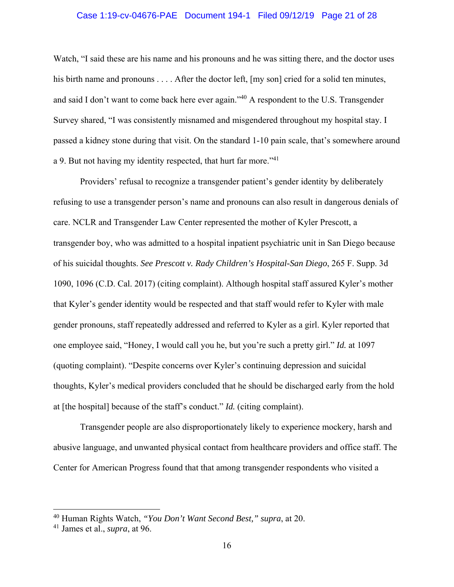#### Case 1:19-cv-04676-PAE Document 194-1 Filed 09/12/19 Page 21 of 28

Watch, "I said these are his name and his pronouns and he was sitting there, and the doctor uses his birth name and pronouns . . . . After the doctor left, [my son] cried for a solid ten minutes, and said I don't want to come back here ever again."<sup>40</sup> A respondent to the U.S. Transgender Survey shared, "I was consistently misnamed and misgendered throughout my hospital stay. I passed a kidney stone during that visit. On the standard 1-10 pain scale, that's somewhere around a 9. But not having my identity respected, that hurt far more."41

Providers' refusal to recognize a transgender patient's gender identity by deliberately refusing to use a transgender person's name and pronouns can also result in dangerous denials of care. NCLR and Transgender Law Center represented the mother of Kyler Prescott, a transgender boy, who was admitted to a hospital inpatient psychiatric unit in San Diego because of his suicidal thoughts. *See Prescott v. Rady Children's Hospital-San Diego*, 265 F. Supp. 3d 1090, 1096 (C.D. Cal. 2017) (citing complaint). Although hospital staff assured Kyler's mother that Kyler's gender identity would be respected and that staff would refer to Kyler with male gender pronouns, staff repeatedly addressed and referred to Kyler as a girl. Kyler reported that one employee said, "Honey, I would call you he, but you're such a pretty girl." *Id.* at 1097 (quoting complaint). "Despite concerns over Kyler's continuing depression and suicidal thoughts, Kyler's medical providers concluded that he should be discharged early from the hold at [the hospital] because of the staff's conduct." *Id.* (citing complaint).

Transgender people are also disproportionately likely to experience mockery, harsh and abusive language, and unwanted physical contact from healthcare providers and office staff. The Center for American Progress found that that among transgender respondents who visited a

<sup>40</sup> Human Rights Watch, *"You Don't Want Second Best," supra*, at 20.

<sup>41</sup> James et al., *supra*, at 96.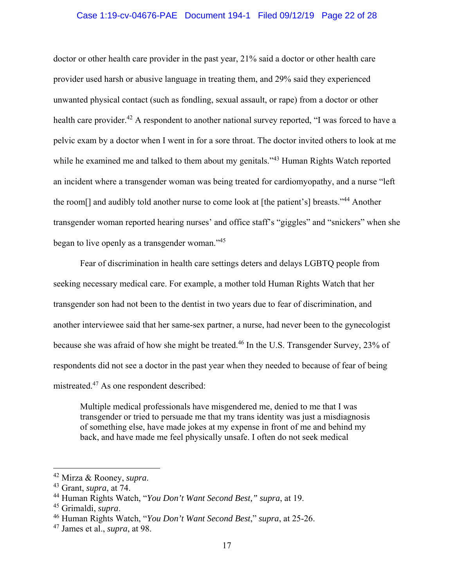#### Case 1:19-cv-04676-PAE Document 194-1 Filed 09/12/19 Page 22 of 28

doctor or other health care provider in the past year, 21% said a doctor or other health care provider used harsh or abusive language in treating them, and 29% said they experienced unwanted physical contact (such as fondling, sexual assault, or rape) from a doctor or other health care provider.<sup>42</sup> A respondent to another national survey reported, "I was forced to have a pelvic exam by a doctor when I went in for a sore throat. The doctor invited others to look at me while he examined me and talked to them about my genitals."<sup>43</sup> Human Rights Watch reported an incident where a transgender woman was being treated for cardiomyopathy, and a nurse "left the room<sup>[]</sup> and audibly told another nurse to come look at [the patient's] breasts."<sup>44</sup> Another transgender woman reported hearing nurses' and office staff's "giggles" and "snickers" when she began to live openly as a transgender woman."<sup>45</sup>

Fear of discrimination in health care settings deters and delays LGBTQ people from seeking necessary medical care. For example, a mother told Human Rights Watch that her transgender son had not been to the dentist in two years due to fear of discrimination, and another interviewee said that her same-sex partner, a nurse, had never been to the gynecologist because she was afraid of how she might be treated.<sup>46</sup> In the U.S. Transgender Survey, 23% of respondents did not see a doctor in the past year when they needed to because of fear of being mistreated.47 As one respondent described:

Multiple medical professionals have misgendered me, denied to me that I was transgender or tried to persuade me that my trans identity was just a misdiagnosis of something else, have made jokes at my expense in front of me and behind my back, and have made me feel physically unsafe. I often do not seek medical

<sup>42</sup> Mirza & Rooney, *supra*. 43 Grant, *supra*, at 74.

<sup>44</sup> Human Rights Watch, "*You Don't Want Second Best," supra*, at 19.

<sup>45</sup> Grimaldi, *supra*. 46 Human Rights Watch, "*You Don't Want Second Best*," *supra*, at 25-26.

<sup>47</sup> James et al., *supra*, at 98.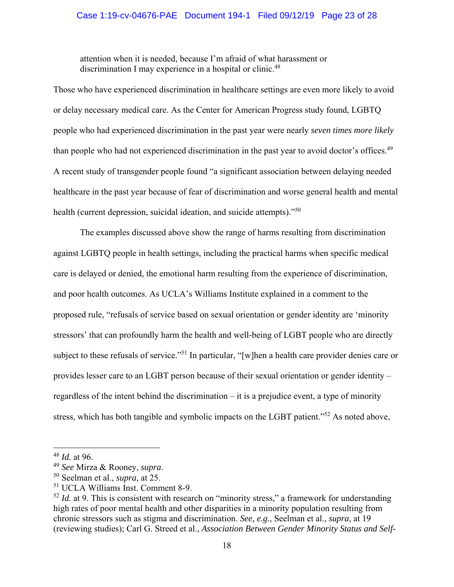### Case 1:19-cv-04676-PAE Document 194-1 Filed 09/12/19 Page 23 of 28

attention when it is needed, because I'm afraid of what harassment or discrimination I may experience in a hospital or clinic.<sup>48</sup>

Those who have experienced discrimination in healthcare settings are even more likely to avoid or delay necessary medical care. As the Center for American Progress study found, LGBTQ people who had experienced discrimination in the past year were nearly *seven times more likely* than people who had not experienced discrimination in the past year to avoid doctor's offices.<sup>49</sup> A recent study of transgender people found "a significant association between delaying needed healthcare in the past year because of fear of discrimination and worse general health and mental health (current depression, suicidal ideation, and suicide attempts)."<sup>50</sup>

The examples discussed above show the range of harms resulting from discrimination against LGBTQ people in health settings, including the practical harms when specific medical care is delayed or denied, the emotional harm resulting from the experience of discrimination, and poor health outcomes. As UCLA's Williams Institute explained in a comment to the proposed rule, "refusals of service based on sexual orientation or gender identity are 'minority stressors' that can profoundly harm the health and well-being of LGBT people who are directly subject to these refusals of service."<sup>51</sup> In particular, "[w]hen a health care provider denies care or provides lesser care to an LGBT person because of their sexual orientation or gender identity – regardless of the intent behind the discrimination – it is a prejudice event, a type of minority stress, which has both tangible and symbolic impacts on the LGBT patient."<sup>52</sup> As noted above,

<sup>&</sup>lt;sup>48</sup> *Id.* at 96.<br><sup>49</sup> See Mirza & Rooney, supra.

<sup>&</sup>lt;sup>50</sup> Seelman et al., *supra*, at 25.

<sup>51</sup> UCLA Williams Inst. Comment 8-9.

<sup>&</sup>lt;sup>52</sup> *Id.* at 9. This is consistent with research on "minority stress," a framework for understanding high rates of poor mental health and other disparities in a minority population resulting from chronic stressors such as stigma and discrimination. *See, e.g.*, Seelman et al., *supra*, at 19 (reviewing studies); Carl G. Streed et al., *Association Between Gender Minority Status and Self-*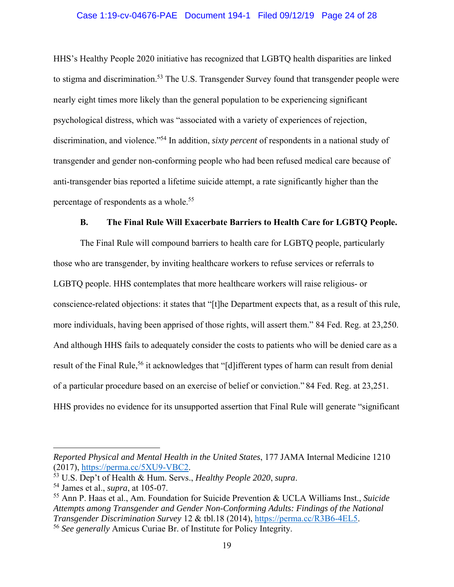#### Case 1:19-cv-04676-PAE Document 194-1 Filed 09/12/19 Page 24 of 28

HHS's Healthy People 2020 initiative has recognized that LGBTQ health disparities are linked to stigma and discrimination.<sup>53</sup> The U.S. Transgender Survey found that transgender people were nearly eight times more likely than the general population to be experiencing significant psychological distress, which was "associated with a variety of experiences of rejection, discrimination, and violence."54 In addition, *sixty percent* of respondents in a national study of transgender and gender non-conforming people who had been refused medical care because of anti-transgender bias reported a lifetime suicide attempt, a rate significantly higher than the percentage of respondents as a whole.<sup>55</sup>

#### **B. The Final Rule Will Exacerbate Barriers to Health Care for LGBTQ People.**

The Final Rule will compound barriers to health care for LGBTQ people, particularly those who are transgender, by inviting healthcare workers to refuse services or referrals to LGBTQ people. HHS contemplates that more healthcare workers will raise religious- or conscience-related objections: it states that "[t]he Department expects that, as a result of this rule, more individuals, having been apprised of those rights, will assert them." 84 Fed. Reg. at 23,250. And although HHS fails to adequately consider the costs to patients who will be denied care as a result of the Final Rule,<sup>56</sup> it acknowledges that "[d] ifferent types of harm can result from denial of a particular procedure based on an exercise of belief or conviction." 84 Fed. Reg. at 23,251. HHS provides no evidence for its unsupported assertion that Final Rule will generate "significant

*Reported Physical and Mental Health in the United States*, 177 JAMA Internal Medicine 1210 (2017), https://perma.cc/5XU9-VBC2. 53 U.S. Dep't of Health & Hum. Servs., *Healthy People 2020*, *supra*.

<sup>54</sup> James et al., *supra*, at 105-07.

<sup>55</sup> Ann P. Haas et al., Am. Foundation for Suicide Prevention & UCLA Williams Inst., *Suicide Attempts among Transgender and Gender Non-Conforming Adults: Findings of the National Transgender Discrimination Survey* 12 & tbl.18 (2014), https://perma.cc/R3B6-4EL5.

<sup>56</sup> *See generally* Amicus Curiae Br. of Institute for Policy Integrity.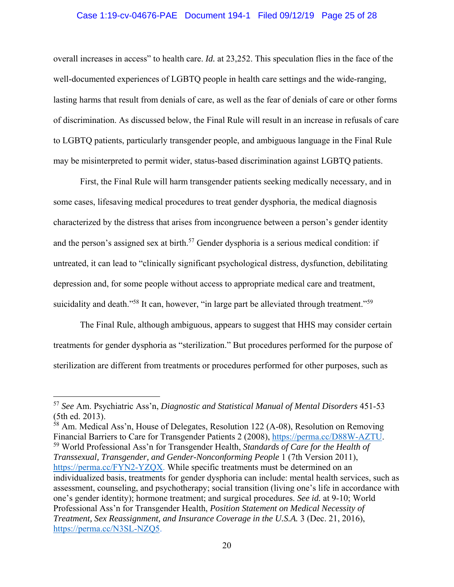#### Case 1:19-cv-04676-PAE Document 194-1 Filed 09/12/19 Page 25 of 28

overall increases in access" to health care. *Id.* at 23,252. This speculation flies in the face of the well-documented experiences of LGBTQ people in health care settings and the wide-ranging, lasting harms that result from denials of care, as well as the fear of denials of care or other forms of discrimination. As discussed below, the Final Rule will result in an increase in refusals of care to LGBTQ patients, particularly transgender people, and ambiguous language in the Final Rule may be misinterpreted to permit wider, status-based discrimination against LGBTQ patients.

First, the Final Rule will harm transgender patients seeking medically necessary, and in some cases, lifesaving medical procedures to treat gender dysphoria, the medical diagnosis characterized by the distress that arises from incongruence between a person's gender identity and the person's assigned sex at birth.<sup>57</sup> Gender dysphoria is a serious medical condition: if untreated, it can lead to "clinically significant psychological distress, dysfunction, debilitating depression and, for some people without access to appropriate medical care and treatment, suicidality and death."<sup>58</sup> It can, however, "in large part be alleviated through treatment."<sup>59</sup>

The Final Rule, although ambiguous, appears to suggest that HHS may consider certain treatments for gender dysphoria as "sterilization." But procedures performed for the purpose of sterilization are different from treatments or procedures performed for other purposes, such as

<sup>58</sup> Am. Medical Ass'n, House of Delegates, Resolution 122 (A-08), Resolution on Removing Financial Barriers to Care for Transgender Patients 2 (2008), https://perma.cc/D88W-AZTU.<br><sup>59</sup> World Professional Ass'n for Transgender Health, *Standards of Care for the Health of* 

*Transsexual, Transgender, and Gender-Nonconforming People* 1 (7th Version 2011), https://perma.cc/FYN2-YZQX. While specific treatments must be determined on an individualized basis, treatments for gender dysphoria can include: mental health services, such as assessment, counseling, and psychotherapy; social transition (living one's life in accordance with one's gender identity); hormone treatment; and surgical procedures. *See id.* at 9-10; World Professional Ass'n for Transgender Health, *Position Statement on Medical Necessity of Treatment, Sex Reassignment, and Insurance Coverage in the U.S.A.* 3 (Dec. 21, 2016), https://perma.cc/N3SL-NZQ5.

<sup>57</sup> *See* Am. Psychiatric Ass'n, *Diagnostic and Statistical Manual of Mental Disorders* 451-53 (5th ed. 2013).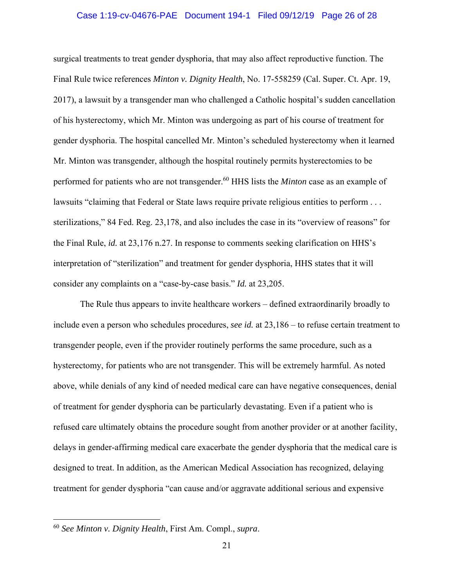#### Case 1:19-cv-04676-PAE Document 194-1 Filed 09/12/19 Page 26 of 28

surgical treatments to treat gender dysphoria, that may also affect reproductive function. The Final Rule twice references *Minton v. Dignity Health*, No. 17-558259 (Cal. Super. Ct. Apr. 19, 2017), a lawsuit by a transgender man who challenged a Catholic hospital's sudden cancellation of his hysterectomy, which Mr. Minton was undergoing as part of his course of treatment for gender dysphoria. The hospital cancelled Mr. Minton's scheduled hysterectomy when it learned Mr. Minton was transgender, although the hospital routinely permits hysterectomies to be performed for patients who are not transgender.60 HHS lists the *Minton* case as an example of lawsuits "claiming that Federal or State laws require private religious entities to perform . . . sterilizations," 84 Fed. Reg. 23,178, and also includes the case in its "overview of reasons" for the Final Rule, *id.* at 23,176 n.27. In response to comments seeking clarification on HHS's interpretation of "sterilization" and treatment for gender dysphoria, HHS states that it will consider any complaints on a "case-by-case basis." *Id.* at 23,205.

The Rule thus appears to invite healthcare workers – defined extraordinarily broadly to include even a person who schedules procedures, *see id.* at 23,186 – to refuse certain treatment to transgender people, even if the provider routinely performs the same procedure, such as a hysterectomy, for patients who are not transgender. This will be extremely harmful. As noted above, while denials of any kind of needed medical care can have negative consequences, denial of treatment for gender dysphoria can be particularly devastating. Even if a patient who is refused care ultimately obtains the procedure sought from another provider or at another facility, delays in gender-affirming medical care exacerbate the gender dysphoria that the medical care is designed to treat. In addition, as the American Medical Association has recognized, delaying treatment for gender dysphoria "can cause and/or aggravate additional serious and expensive

<sup>60</sup> *See Minton v. Dignity Health*, First Am. Compl., *supra*.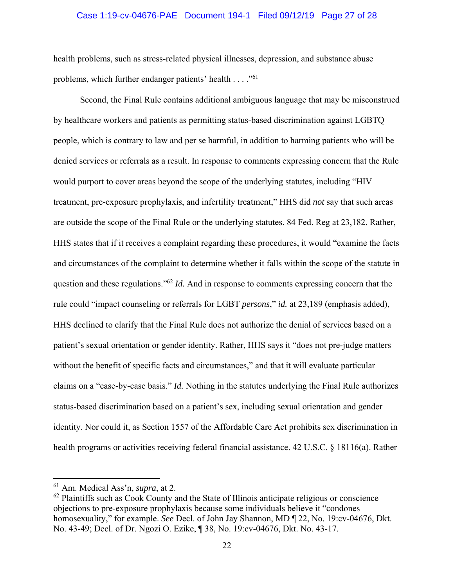#### Case 1:19-cv-04676-PAE Document 194-1 Filed 09/12/19 Page 27 of 28

health problems, such as stress-related physical illnesses, depression, and substance abuse problems, which further endanger patients' health . . . . "<sup>61</sup>

Second, the Final Rule contains additional ambiguous language that may be misconstrued by healthcare workers and patients as permitting status-based discrimination against LGBTQ people, which is contrary to law and per se harmful, in addition to harming patients who will be denied services or referrals as a result. In response to comments expressing concern that the Rule would purport to cover areas beyond the scope of the underlying statutes, including "HIV treatment, pre-exposure prophylaxis, and infertility treatment," HHS did *not* say that such areas are outside the scope of the Final Rule or the underlying statutes. 84 Fed. Reg at 23,182. Rather, HHS states that if it receives a complaint regarding these procedures, it would "examine the facts and circumstances of the complaint to determine whether it falls within the scope of the statute in question and these regulations."62 *Id.* And in response to comments expressing concern that the rule could "impact counseling or referrals for LGBT *persons*," *id.* at 23,189 (emphasis added), HHS declined to clarify that the Final Rule does not authorize the denial of services based on a patient's sexual orientation or gender identity. Rather, HHS says it "does not pre-judge matters without the benefit of specific facts and circumstances," and that it will evaluate particular claims on a "case-by-case basis." *Id.* Nothing in the statutes underlying the Final Rule authorizes status-based discrimination based on a patient's sex, including sexual orientation and gender identity. Nor could it, as Section 1557 of the Affordable Care Act prohibits sex discrimination in health programs or activities receiving federal financial assistance. 42 U.S.C. § 18116(a). Rather

<sup>61</sup> Am. Medical Ass'n, *supra*, at 2.

 $62$  Plaintiffs such as Cook County and the State of Illinois anticipate religious or conscience objections to pre-exposure prophylaxis because some individuals believe it "condones homosexuality," for example. *See* Decl. of John Jay Shannon, MD ¶ 22, No. 19:cv-04676, Dkt. No. 43-49; Decl. of Dr. Ngozi O. Ezike, ¶ 38, No. 19:cv-04676, Dkt. No. 43-17.